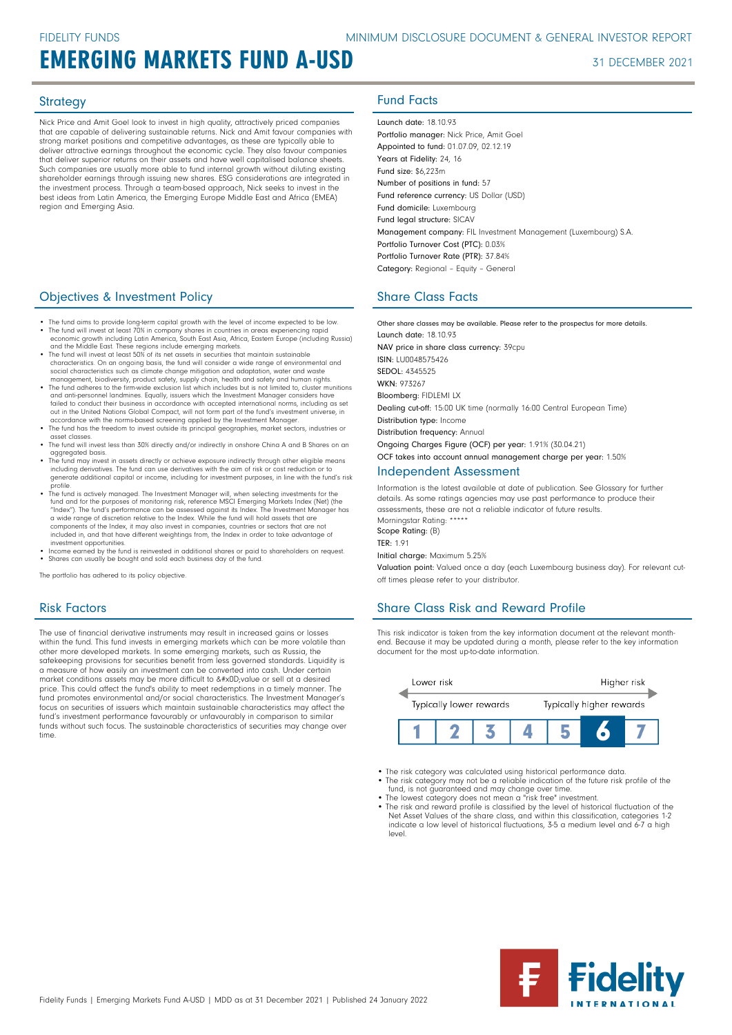# EMERGING MARKETS FUND A-USD 31 DECEMBER 2021

Nick Price and Amit Goel look to invest in high quality, attractively priced companies that are capable of delivering sustainable returns. Nick and Amit favour companies with strong market positions and competitive advantages, as these are typically able to deliver attractive earnings throughout the economic cycle. They also favour companies that deliver superior returns on their assets and have well capitalised balance sheets. Such companies are usually more able to fund internal growth without diluting existing shareholder earnings through issuing new shares. ESG considerations are integrated in the investment process. Through a team-based approach, Nick seeks to invest in the best ideas from Latin America, the Emerging Europe Middle East and Africa (EMEA) region and Emerging Asia.

## **Objectives & Investment Policy Share Class Facts** Share Class Facts

- The fund aims to provide long-term capital growth with the level of income expected to be low. • The fund will invest at least 70% in company shares in countries in areas experiencing rapid economic growth including Latin America, South East Asia, Africa, Eastern Europe (including Russia)
- and the Middle East. These regions include emerging markets.<br>• The fund will invest at least 50% of its net assets in securities that maintain sustainable<br>- Characteristics. On an ongoing basis, the fund will consider a wi
- social characteristics such as climate change mitigation and adaptation, water and waste management, biodiversity, product safety, supply chain, health and safety and human rights. • The fund adheres to the firm-wide exclusion list which includes but is not limited to, cluster munitions
- and anti-personnel landmines. Equally, issuers which the Investment Manager considers have failed to conduct their business in accordance with accepted international norms, including as set out in the United Nations Global Compact, will not form part of the fund's investment universe, in<br>accordance with the norms-based screening applied by the Investment Manager.<br>• The fund has the freedom to invest outside
- asset classes. • The fund will invest less than 30% directly and/or indirectly in onshore China A and B Shares on an
- aggregated basis.
- The fund may invest in assets directly or achieve exposure indirectly through other eligible means including derivatives. The fund can use derivatives with the aim of risk or cost reduction or to generate additional capital or income, including for investment purposes, in line with the fund's risk<br>profile
- profile.<br>• The fund is actively managed. The Investment Manager will, when selecting investments for the<br>fund and for the purposes of monitoring risk, reference MSCI Emerging Markets Index (Net) (the<br>"Index"). The fund's p components of the Index, it may also invest in companies, countries or sectors that are not included in, and that have different weightings from, the Index in order to take advantage of
- investment opportunities. Income earned by the fund is reinvested in additional shares or paid to shareholders on request. Shares can usually be bought and sold each business day of the fund.

The portfolio has adhered to its policy objective.

## Risk Factors

The use of financial derivative instruments may result in increased gains or losses within the fund. This fund invests in emerging markets which can be more volatile than other more developed markets. In some emerging markets, such as Russia, the safekeeping provisions for securities benefit from less governed standards. Liquidity is a measure of how easily an investment can be converted into cash. Under certain market conditions assets may be more difficult to 
value or sell at a desired price. This could affect the fund's ability to meet redemptions in a timely manner. The fund promotes environmental and/or social characteristics. The Investment Manager's focus on securities of issuers which maintain sustainable characteristics may affect the fund's investment performance favourably or unfavourably in comparison to similar funds without such focus. The sustainable characteristics of securities may change over time

## Strategy **Fund Facts**

Launch date: 18.10.93 Portfolio manager: Nick Price, Amit Goel Appointed to fund: 01.07.09, 02.12.19 Years at Fidelity: 24, 16 Fund size: \$6,223m Number of positions in fund: 57 Fund reference currency: US Dollar (USD) Fund domicile: Luxembourg Fund legal structure: SICAV Management company: FIL Investment Management (Luxembourg) S.A. Portfolio Turnover Cost (PTC): 0.03% Portfolio Turnover Rate (PTR): 37.84% Category: Regional – Equity – General

Other share classes may be available. Please refer to the prospectus for more details. Launch date: 18.10.93 NAV price in share class currency: 39cpu ISIN: LU0048575426 SEDOL: 4345525 WKN- 973267 Bloomberg: FIDLEMI LX Dealing cut-off: 15:00 UK time (normally 16:00 Central European Time) Distribution type: Income Distribution frequency: Annual Ongoing Charges Figure (OCF) per year: 1.91% (30.04.21) OCF takes into account annual management charge per year: 1.50% Independent Assessment

Information is the latest available at date of publication. See Glossary for further details. As some ratings agencies may use past performance to produce their assessments, these are not a reliable indicator of future results. Morningstar Rating: \*\*\*\*\* Scope Rating: (B) TER: 1.91 Initial charge: Maximum 5.25%

Valuation point: Valued once a day (each Luxembourg business day). For relevant cutoff times please refer to your distributor.

## Share Class Risk and Reward Profile

This risk indicator is taken from the key information document at the relevant monthend. Because it may be updated during a month, please refer to the key information document for the most up-to-date information.



- The risk category was calculated using historical performance data.
- The risk category may not be a reliable indication of the future risk profile of the fund, is not guaranteed and may change over time. The lowest category does not mean a "risk free" investment.
- 
- The risk and reward profile is classified by the level of historical fluctuation of the Net Asset Values of the share class, and within this classification, categories 1-2 indicate a low level of historical fluctuations, 3-5 a medium level and 6-7 a high level.

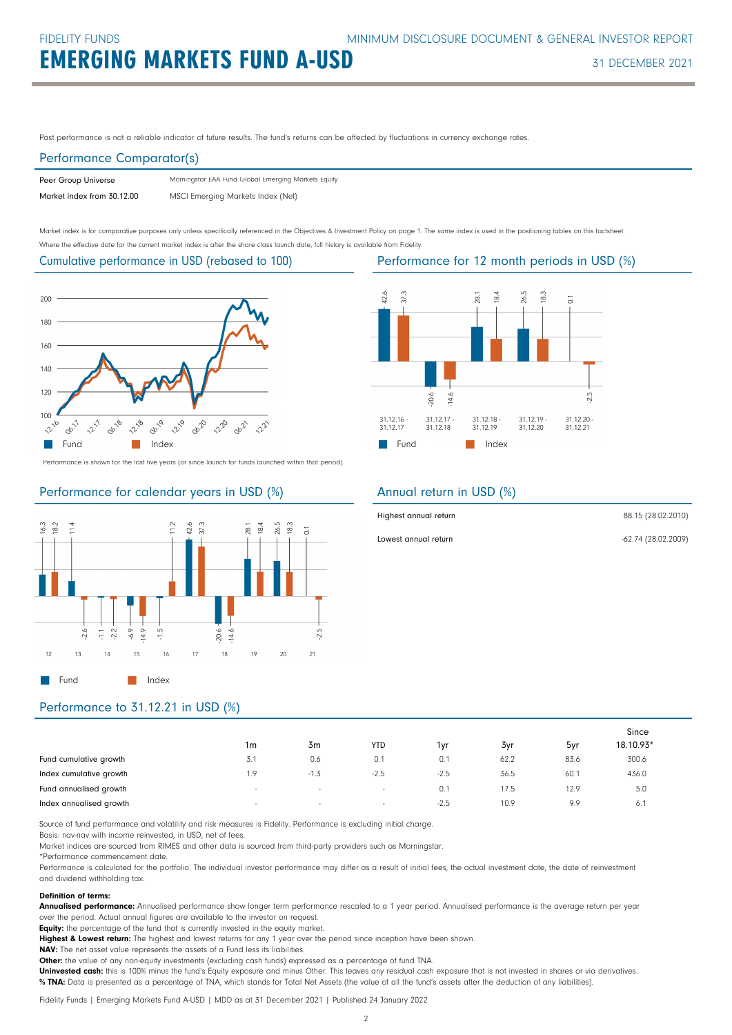Past performance is not a reliable indicator of future results. The fund's returns can be affected by fluctuations in currency exchange rates.

### Performance Comparator(s)

| Peer Group Universe        | Morningstar EAA Fund Global Emerging Markets Equity |
|----------------------------|-----------------------------------------------------|
| Market index from 30.12.00 | MSCI Emerging Markets Index (Net)                   |

Market index is for comparative purposes only unless specifically referenced in the Objectives & Investment Policy on page 1. The same index is used in the positioning tables on this factsheet. Where the effective date for the current market index is after the share class launch date, full history is available from Fidelity.

Cumulative performance in USD (rebased to 100)



Performance is shown for the last five years (or since launch for funds launched within that period).

### Performance for calendar years in USD (%)





### Annual return in USD (%)

| Highest annual return | 88.15 (28.02.2010)  |
|-----------------------|---------------------|
| Lowest annual return  | -62.74 (28.02.2009) |

## Performance to 31.12.21 in USD (%)

|                         |                          |        |            |        |      |      | Since     |
|-------------------------|--------------------------|--------|------------|--------|------|------|-----------|
|                         | 1m                       | 3m     | <b>YTD</b> | 1yr    | 3yr  | 5yr  | 18.10.93* |
| Fund cumulative growth  | 3.1                      | 0.6    | 0.1        | 0.1    | 62.2 | 83.6 | 300.6     |
| Index cumulative growth | 1.9                      | $-1.3$ | $-2.5$     | $-2.5$ | 36.5 | 60.1 | 436.0     |
| Fund annualised growth  | $\overline{\phantom{a}}$ | $\sim$ | $\sim$     | 0.1    | 17.5 | 12.9 | 5.0       |
| Index annualised growth | $\sim$                   | $\sim$ | $\sim$     | $-2.5$ | 10.9 | 9.9  | 6.        |

Source of fund performance and volatility and risk measures is Fidelity. Performance is excluding initial charge.

Basis: nav-nav with income reinvested, in USD, net of fees.

Market indices are sourced from RIMES and other data is sourced from third-party providers such as Morningstar.

\*Performance commencement date.

Performance is calculated for the portfolio. The individual investor performance may differ as a result of initial fees, the actual investment date, the date of reinvestment and dividend withholding tax.

### Definition of terms:

Annualised performance: Annualised performance show longer term performance rescaled to a 1 year period. Annualised performance is the average return per year over the period. Actual annual figures are available to the investor on request.

Equity: the percentage of the fund that is currently invested in the equity market.

Highest & Lowest return: The highest and lowest returns for any 1 year over the period since inception have been shown.

NAV: The net asset value represents the assets of a Fund less its liabilities.

Other: the value of any non-equity investments (excluding cash funds) expressed as a percentage of fund TNA.

Uninvested cash: this is 100% minus the fund's Equity exposure and minus Other. This leaves any residual cash exposure that is not invested in shares or via derivatives. % TNA: Data is presented as a percentage of TNA, which stands for Total Net Assets (the value of all the fund's assets after the deduction of any liabilities).

Fidelity Funds | Emerging Markets Fund A-USD | MDD as at 31 December 2021 | Published 24 January 2022

Performance for 12 month periods in USD (%)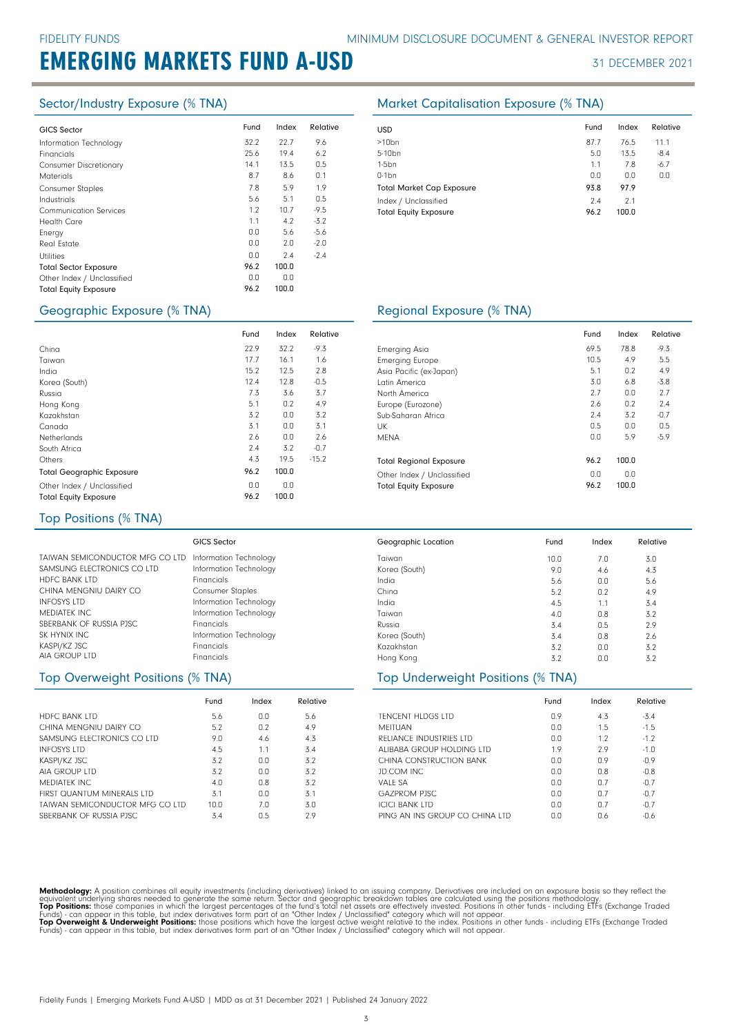# EMERGING MARKETS FUND A-USD 31 DECEMBER 2021

| <b>GICS Sector</b>            | Fund | Index | Relative | USD  |
|-------------------------------|------|-------|----------|------|
| Information Technology        | 32.2 | 22.7  | 9.6      | >10  |
| Financials                    | 25.6 | 19.4  | 6.2      | 5-10 |
| <b>Consumer Discretionary</b> | 14.1 | 13.5  | 0.5      | 1-5b |
| <b>Materials</b>              | 8.7  | 8.6   | 0.1      | 0-1b |
| <b>Consumer Staples</b>       | 7.8  | 5.9   | 1.9      | Totc |
| Industrials                   | 5.6  | 5.1   | 0.5      | Inde |
| <b>Communication Services</b> | 1.2  | 10.7  | $-9.5$   | Totc |
| <b>Health Care</b>            | 1.1  | 4.2   | $-3.2$   |      |
| Energy                        | 0.0  | 5.6   | $-5.6$   |      |
| Real Estate                   | 0.0  | 2.0   | $-2.0$   |      |
| <b>Utilities</b>              | 0.0  | 2.4   | $-2.4$   |      |
| <b>Total Sector Exposure</b>  | 96.2 | 100.0 |          |      |
| Other Index / Unclassified    | 0.0  | 0.0   |          |      |
| <b>Total Equity Exposure</b>  | 96.2 | 100.0 |          |      |
|                               |      |       |          |      |

Fund Index Relative 22.9 32.2 -9.3

16.1 12.5 12.8 3.6 0.2 0.0 0.0  $0.0$  $3.2$ <br>19.5

1.6 2.8  $-0.5$ 3.7 4.9 3.2 3.1  $2.6$ -0.7

 $-15.2$ 

17.7 15.2 7.3 5.1 3.2 3.1 2.6  $2.4$ <br> $4.3$ 

12.4

96.2 100.0  $0.0$ 96.2

 $0.0$ 100.0

### Sector/Industry Exposure (% TNA) Market Capitalisation Exposure (% TNA)

| <b>USD</b>                                           | Fund        | Index        | Relative |
|------------------------------------------------------|-------------|--------------|----------|
| $>10$ bn                                             | 87.7        | 76.5         | 11.1     |
| 5-10 <sub>bn</sub>                                   | 5.0         | 13.5         | $-8.4$   |
| $1-5$ bn                                             | 1.1         | 7.8          | $-6.7$   |
| $0-1$ bn                                             | 0.0         | 0.0          | 0.0      |
| <b>Total Market Cap Exposure</b>                     | 93.8        | 97.9         |          |
| Index / Unclassified<br><b>Total Equity Exposure</b> | 7.4<br>96.2 | 2.1<br>100.0 |          |

### Geographic Exposure (% TNA) <br>
Regional Exposure (% TNA)

|                                | Fund | Index | Relative |
|--------------------------------|------|-------|----------|
| Emerging Asia                  | 69.5 | 78.8  | $-9.3$   |
| <b>Emerging Europe</b>         | 10.5 | 4.9   | 5.5      |
| Asia Pacific (ex-Japan)        | 5.1  | 0.2   | 4.9      |
| Latin America                  | 3.0  | 6.8   | $-3.8$   |
| North America                  | 2.7  | 0.0   | 2.7      |
| Europe (Eurozone)              | 2.6  | 0.2   | 7.4      |
| Sub-Saharan Africa             | 7.4  | 3.2   | $-0.7$   |
| UK                             | 0.5  | 0.0   | 0.5      |
| <b>MFNA</b>                    | 0.0  | 5.9   | $-5.9$   |
| <b>Total Regional Exposure</b> | 96.2 | 100.0 |          |
| Other Index / Unclassified     | 0.0  | 0.0   |          |
| <b>Total Equity Exposure</b>   | 96.2 | 100.0 |          |

### Top Positions (% TNA)

Total Geographic Exposure Other Index / Unclassified Total Equity Exposure

China Taiwan India Korea (South) Russia Hong Kong Kazakhstan Canada Netherlands South Africa

Others

|                                                        | <b>GICS Sector</b>      | Geographic Location | Fund | Index | Relative |
|--------------------------------------------------------|-------------------------|---------------------|------|-------|----------|
| TAIWAN SEMICONDUCTOR MFG CO LTD Information Technology |                         | Taiwan              | 10.0 | 7.0   | 3.0      |
| SAMSUNG ELECTRONICS CO LTD                             | Information Technology  | Korea (South)       | 9.0  | 4.6   | 4.3      |
| <b>HDFC BANK LTD</b>                                   | <b>Financials</b>       | India               | 5.6  | 0.0   | 5.6      |
| CHINA MENGNIU DAIRY CO                                 | <b>Consumer Staples</b> | China               | 5.2  | 0.2   | 4.9      |
| <b>INFOSYS LTD</b>                                     | Information Technology  | India               | 4.5  | 1.1   | 3.4      |
| MEDIATEK INC                                           | Information Technology  | Taiwan              | 4.0  | 0.8   | 3.2      |
| SBERBANK OF RUSSIA PJSC                                | <b>Financials</b>       | Russia              | 3.4  | 0.5   | 2.9      |
| SK HYNIX INC                                           | Information Technology  | Korea (South)       | 3.4  | 0.8   | 2.6      |
| KASPI/KZ JSC                                           | <b>Financials</b>       | Kazakhstan          | 3.2  | 0.0   | 3.2      |
| AIA GROUP LTD                                          | <b>Financials</b>       | Hong Kong           | 3.2  | 0.0   | 3.2      |

### Top Overweight Positions (% TNA)

|                                 | Fund | Index | Relative |
|---------------------------------|------|-------|----------|
| <b>HDFC BANK LTD</b>            | 5.6  | 0.0   | 5.6      |
| CHINA MENGNIU DAIRY CO          | 5.2  | 0.2   | 4.9      |
| SAMSUNG FLECTRONICS CO LTD      | 9.0  | 4.6   | 4.3      |
| <b>INFOSYS LTD</b>              | 4.5  | 1.1   | 3.4      |
| KASPI/KZ JSC                    | 3.2  | 0.0   | 3.2      |
| AIA GROUP LTD                   | 3.2  | 0.0   | 3.2      |
| MFDIATFK INC.                   | 4.0  | 0.8   | 3.2      |
| FIRST QUANTUM MINERALS LTD      | 3.1  | 0.0   | 3.1      |
| TAIWAN SEMICONDUCTOR MEG CO LTD | 10.0 | 7.0   | 3.0      |
| SBERBANK OF RUSSIA PISC         | 3.4  | 0.5   | 2.9      |

| <b>TENCENT HLDGS LTD</b>          | Fund<br>0.9 | Index<br>4.3 | Relative<br>$-3.4$ |  |  |  |
|-----------------------------------|-------------|--------------|--------------------|--|--|--|
| Top Underweight Positions (% TNA) |             |              |                    |  |  |  |
| Hong Kong                         | 3.2         | 0.0          | 3.2                |  |  |  |
| Kazakhstan                        | 3.2         | 0.0          | 3.2                |  |  |  |
| Korea (South)                     | 3.4         | 0.8          | 2.6                |  |  |  |
| Russia                            | 3.4         | 0.5          | 2.9                |  |  |  |
| Taiwan                            | 4.0         | 0.8          | 3.2                |  |  |  |
| India                             | 4.5         | 1.1          | 3.4                |  |  |  |
| China                             | 5.2         | 0.2          | 4.9                |  |  |  |
| India                             | 5.6         | U.U          | 5.6                |  |  |  |

| <b>TENCENT HLDGS LTD</b>       | 0.9 | 4.3 | $-3.4$ |
|--------------------------------|-----|-----|--------|
| MFITUAN                        | 0.0 | 1.5 | $-1.5$ |
| RELIANCE INDUSTRIES LTD        | 0.0 | 1.2 | $-1.2$ |
| ALIBABA GROUP HOLDING LTD      | 1.9 | 2.9 | $-1.0$ |
| CHINA CONSTRUCTION BANK        | 0.0 | 0.9 | $-0.9$ |
| JD.COM INC                     | 0.0 | 0.8 | $-0.8$ |
| VALF SA                        | 0.0 | 0.7 | $-0.7$ |
| <b>GAZPROM PISC</b>            | 0.0 | 0.7 | $-0.7$ |
| <b>ICICI BANK LTD</b>          | 0.0 | 0.7 | $-0.7$ |
| PING AN INS GROUP CO CHINA LTD | 0.0 | 0.6 | -0.6   |

Methodology: A position combines all equity investments (including derivatives) linked to an issuing company. Derivatives are included on an exposure basis so they reflect the<br>equivalent underlying shares needed to generat